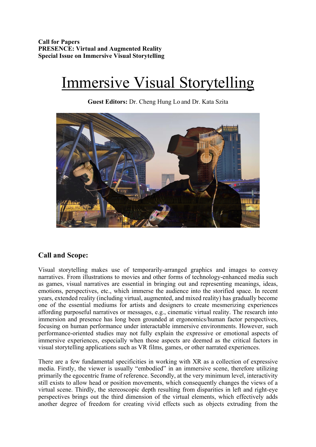**Call for Papers PRESENCE: Virtual and Augmented Reality Special Issue on Immersive Visual Storytelling**

# Immersive Visual Storytelling

**Guest Editors:** Dr. Cheng Hung Lo and Dr. Kata Szita



## **Call and Scope:**

Visual storytelling makes use of temporarily-arranged graphics and images to convey narratives. From illustrations to movies and other forms of technology-enhanced media such as games, visual narratives are essential in bringing out and representing meanings, ideas, emotions, perspectives, etc., which immerse the audience into the storified space. In recent years, extended reality (including virtual, augmented, and mixed reality) has gradually become one of the essential mediums for artists and designers to create mesmerizing experiences affording purposeful narratives or messages, e.g., cinematic virtual reality. The research into immersion and presence has long been grounded at ergonomics/human factor perspectives, focusing on human performance under interactable immersive environments. However, such performance-oriented studies may not fully explain the expressive or emotional aspects of immersive experiences, especially when those aspects are deemed as the critical factors in visual storytelling applications such as VR films, games, or other narrated experiences.

There are a few fundamental specificities in working with XR as a collection of expressive media. Firstly, the viewer is usually "embodied" in an immersive scene, therefore utilizing primarily the egocentric frame of reference. Secondly, at the very minimum level, interactivity still exists to allow head or position movements, which consequently changes the views of a virtual scene. Thirdly, the stereoscopic depth resulting from disparities in left and right-eye perspectives brings out the third dimension of the virtual elements, which effectively adds another degree of freedom for creating vivid effects such as objects extruding from the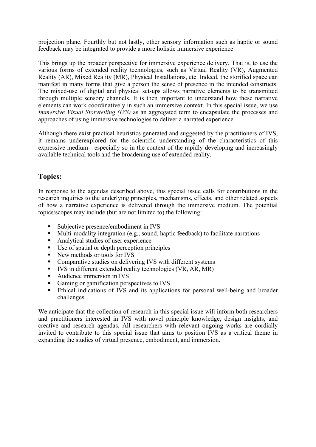projection plane. Fourthly but not lastly, other sensory information such as haptic or sound feedback may be integrated to provide a more holistic immersive experience.

This brings up the broader perspective for immersive experience delivery. That is, to use the various forms of extended reality technologies, such as Virtual Reality (VR), Augmented Reality (AR), Mixed Reality (MR), Physical Installations, etc. Indeed, the storified space can manifest in many forms that give a person the sense of presence in the intended constructs. The mixed-use of digital and physical set-ups allows narrative elements to be transmitted through multiple sensory channels. It is then important to understand how these narrative elements can work coordinatively in such an immersive context. In this special issue, we use *Immersive Visual Storytelling (IVS)* as an aggregated term to encapsulate the processes and approaches of using immersive technologies to deliver a narrated experience.

Although there exist practical heuristics generated and suggested by the practitioners of IVS, it remains underexplored for the scientific understanding of the characteristics of this expressive medium—especially so in the context of the rapidly developing and increasingly available technical tools and the broadening use of extended reality.

# **Topics:**

In response to the agendas described above, this special issue calls for contributions in the research inquiries to the underlying principles, mechanisms, effects, and other related aspects of how a narrative experience is delivered through the immersive medium. The potential topics/scopes may include (but are not limited to) the following:

- § Subjective presence/embodiment in IVS
- Multi-modality integration (e.g., sound, haptic feedback) to facilitate narrations
- Analytical studies of user experience
- Use of spatial or depth perception principles
- New methods or tools for IVS
- § Comparative studies on delivering IVS with different systems
- IVS in different extended reality technologies (VR, AR, MR)
- § Audience immersion in IVS
- Gaming or gamification perspectives to IVS
- Ethical indications of IVS and its applications for personal well-being and broader challenges

We anticipate that the collection of research in this special issue will inform both researchers and practitioners interested in IVS with novel principle knowledge, design insights, and creative and research agendas. All researchers with relevant ongoing works are cordially invited to contribute to this special issue that aims to position IVS as a critical theme in expanding the studies of virtual presence, embodiment, and immersion.